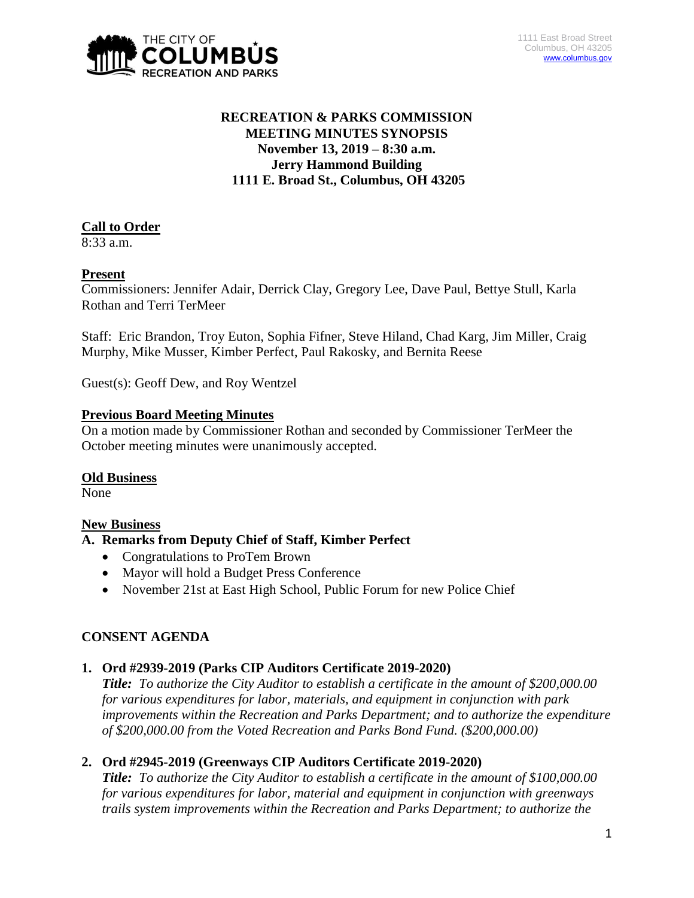

# **RECREATION & PARKS COMMISSION MEETING MINUTES SYNOPSIS November 13, 2019 – 8:30 a.m. Jerry Hammond Building 1111 E. Broad St., Columbus, OH 43205**

# **Call to Order**

8:33 a.m.

# **Present**

Commissioners: Jennifer Adair, Derrick Clay, Gregory Lee, Dave Paul, Bettye Stull, Karla Rothan and Terri TerMeer

Staff: Eric Brandon, Troy Euton, Sophia Fifner, Steve Hiland, Chad Karg, Jim Miller, Craig Murphy, Mike Musser, Kimber Perfect, Paul Rakosky, and Bernita Reese

Guest(s): Geoff Dew, and Roy Wentzel

### **Previous Board Meeting Minutes**

On a motion made by Commissioner Rothan and seconded by Commissioner TerMeer the October meeting minutes were unanimously accepted.

### **Old Business**

None

# **New Business**

# **A. Remarks from Deputy Chief of Staff, Kimber Perfect**

- Congratulations to ProTem Brown
- Mayor will hold a Budget Press Conference
- November 21st at East High School, Public Forum for new Police Chief

# **CONSENT AGENDA**

# **1. Ord #2939-2019 (Parks CIP Auditors Certificate 2019-2020)**

*Title: To authorize the City Auditor to establish a certificate in the amount of \$200,000.00 for various expenditures for labor, materials, and equipment in conjunction with park improvements within the Recreation and Parks Department; and to authorize the expenditure of \$200,000.00 from the Voted Recreation and Parks Bond Fund. (\$200,000.00)*

# **2. Ord #2945-2019 (Greenways CIP Auditors Certificate 2019-2020)**

*Title: To authorize the City Auditor to establish a certificate in the amount of \$100,000.00 for various expenditures for labor, material and equipment in conjunction with greenways trails system improvements within the Recreation and Parks Department; to authorize the*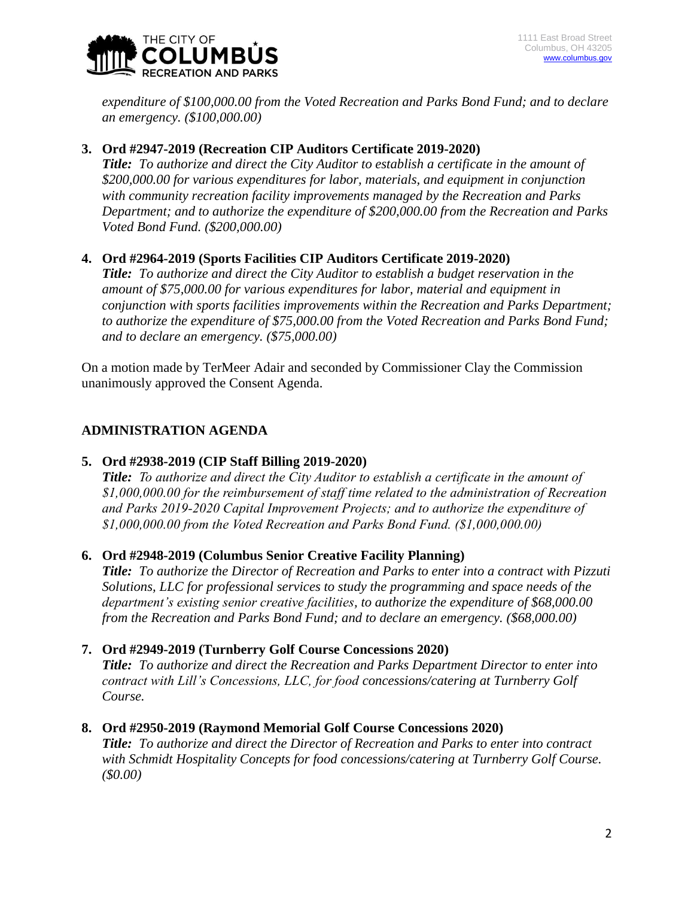

*expenditure of \$100,000.00 from the Voted Recreation and Parks Bond Fund; and to declare an emergency. (\$100,000.00)*

### **3. Ord #2947-2019 (Recreation CIP Auditors Certificate 2019-2020)**

*Title: To authorize and direct the City Auditor to establish a certificate in the amount of \$200,000.00 for various expenditures for labor, materials, and equipment in conjunction with community recreation facility improvements managed by the Recreation and Parks Department; and to authorize the expenditure of \$200,000.00 from the Recreation and Parks Voted Bond Fund. (\$200,000.00)*

### **4. Ord #2964-2019 (Sports Facilities CIP Auditors Certificate 2019-2020)**

*Title: To authorize and direct the City Auditor to establish a budget reservation in the amount of \$75,000.00 for various expenditures for labor, material and equipment in conjunction with sports facilities improvements within the Recreation and Parks Department; to authorize the expenditure of \$75,000.00 from the Voted Recreation and Parks Bond Fund; and to declare an emergency. (\$75,000.00)*

On a motion made by TerMeer Adair and seconded by Commissioner Clay the Commission unanimously approved the Consent Agenda.

# **ADMINISTRATION AGENDA**

### **5. Ord #2938-2019 (CIP Staff Billing 2019-2020)**

*Title: To authorize and direct the City Auditor to establish a certificate in the amount of \$1,000,000.00 for the reimbursement of staff time related to the administration of Recreation and Parks 2019-2020 Capital Improvement Projects; and to authorize the expenditure of \$1,000,000.00 from the Voted Recreation and Parks Bond Fund. (\$1,000,000.00)*

### **6. Ord #2948-2019 (Columbus Senior Creative Facility Planning)**

*Title: To authorize the Director of Recreation and Parks to enter into a contract with Pizzuti Solutions, LLC for professional services to study the programming and space needs of the department's existing senior creative facilities, to authorize the expenditure of \$68,000.00 from the Recreation and Parks Bond Fund; and to declare an emergency. (\$68,000.00)*

### **7. Ord #2949-2019 (Turnberry Golf Course Concessions 2020)**

*Title: To authorize and direct the Recreation and Parks Department Director to enter into contract with Lill's Concessions, LLC, for food concessions/catering at Turnberry Golf Course.*

### **8. Ord #2950-2019 (Raymond Memorial Golf Course Concessions 2020)**

*Title: To authorize and direct the Director of Recreation and Parks to enter into contract with Schmidt Hospitality Concepts for food concessions/catering at Turnberry Golf Course. (\$0.00)*